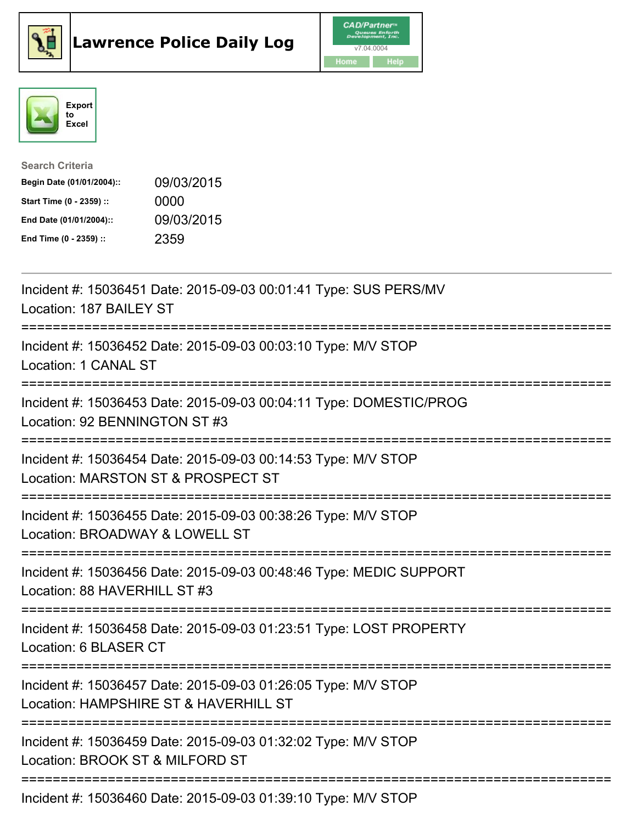





| <b>Search Criteria</b>    |            |
|---------------------------|------------|
| Begin Date (01/01/2004):: | 09/03/2015 |
| Start Time (0 - 2359) ::  | 0000       |
| End Date (01/01/2004)::   | 09/03/2015 |
| End Time (0 - 2359) ::    | 2359       |

| Incident #: 15036451 Date: 2015-09-03 00:01:41 Type: SUS PERS/MV<br>Location: 187 BAILEY ST                                             |
|-----------------------------------------------------------------------------------------------------------------------------------------|
| Incident #: 15036452 Date: 2015-09-03 00:03:10 Type: M/V STOP<br>Location: 1 CANAL ST<br>==================                             |
| Incident #: 15036453 Date: 2015-09-03 00:04:11 Type: DOMESTIC/PROG<br>Location: 92 BENNINGTON ST #3<br>-----------------------          |
| Incident #: 15036454 Date: 2015-09-03 00:14:53 Type: M/V STOP<br>Location: MARSTON ST & PROSPECT ST                                     |
| Incident #: 15036455 Date: 2015-09-03 00:38:26 Type: M/V STOP<br>Location: BROADWAY & LOWELL ST<br>====================                 |
| Incident #: 15036456 Date: 2015-09-03 00:48:46 Type: MEDIC SUPPORT<br>Location: 88 HAVERHILL ST #3                                      |
| Incident #: 15036458 Date: 2015-09-03 01:23:51 Type: LOST PROPERTY<br>Location: 6 BLASER CT                                             |
| Incident #: 15036457 Date: 2015-09-03 01:26:05 Type: M/V STOP<br>Location: HAMPSHIRE ST & HAVERHILL ST<br>============================= |
| Incident #: 15036459 Date: 2015-09-03 01:32:02 Type: M/V STOP<br>Location: BROOK ST & MILFORD ST                                        |
| Incident #: 15036460 Date: 2015-09-03 01:39:10 Type: M/V STOP                                                                           |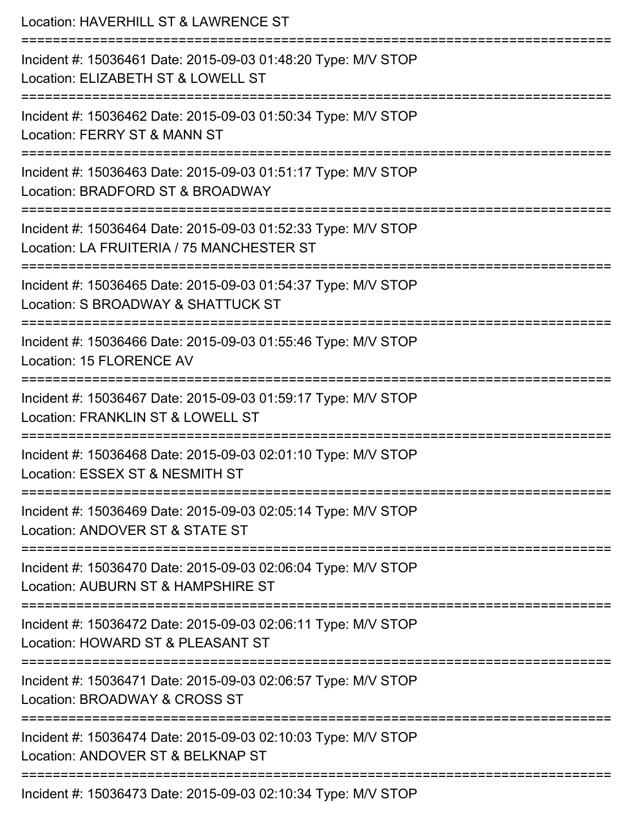| Location: HAVERHILL ST & LAWRENCE ST                                                                                             |
|----------------------------------------------------------------------------------------------------------------------------------|
| Incident #: 15036461 Date: 2015-09-03 01:48:20 Type: M/V STOP<br>Location: ELIZABETH ST & LOWELL ST                              |
| Incident #: 15036462 Date: 2015-09-03 01:50:34 Type: M/V STOP<br>Location: FERRY ST & MANN ST<br>=============================== |
| Incident #: 15036463 Date: 2015-09-03 01:51:17 Type: M/V STOP<br>Location: BRADFORD ST & BROADWAY                                |
| Incident #: 15036464 Date: 2015-09-03 01:52:33 Type: M/V STOP<br>Location: LA FRUITERIA / 75 MANCHESTER ST                       |
| Incident #: 15036465 Date: 2015-09-03 01:54:37 Type: M/V STOP<br>Location: S BROADWAY & SHATTUCK ST                              |
| :=====================<br>Incident #: 15036466 Date: 2015-09-03 01:55:46 Type: M/V STOP<br>Location: 15 FLORENCE AV              |
| Incident #: 15036467 Date: 2015-09-03 01:59:17 Type: M/V STOP<br>Location: FRANKLIN ST & LOWELL ST                               |
| Incident #: 15036468 Date: 2015-09-03 02:01:10 Type: M/V STOP<br>Location: ESSEX ST & NESMITH ST                                 |
| Incident #: 15036469 Date: 2015-09-03 02:05:14 Type: M/V STOP<br>Location: ANDOVER ST & STATE ST                                 |
| Incident #: 15036470 Date: 2015-09-03 02:06:04 Type: M/V STOP<br>Location: AUBURN ST & HAMPSHIRE ST                              |
| Incident #: 15036472 Date: 2015-09-03 02:06:11 Type: M/V STOP<br>Location: HOWARD ST & PLEASANT ST                               |
| Incident #: 15036471 Date: 2015-09-03 02:06:57 Type: M/V STOP<br>Location: BROADWAY & CROSS ST                                   |
| Incident #: 15036474 Date: 2015-09-03 02:10:03 Type: M/V STOP<br>Location: ANDOVER ST & BELKNAP ST                               |
| 00.00.00.10.0                                                                                                                    |

Incident #: 15036473 Date: 2015-09-03 02:10:34 Type: M/V STOP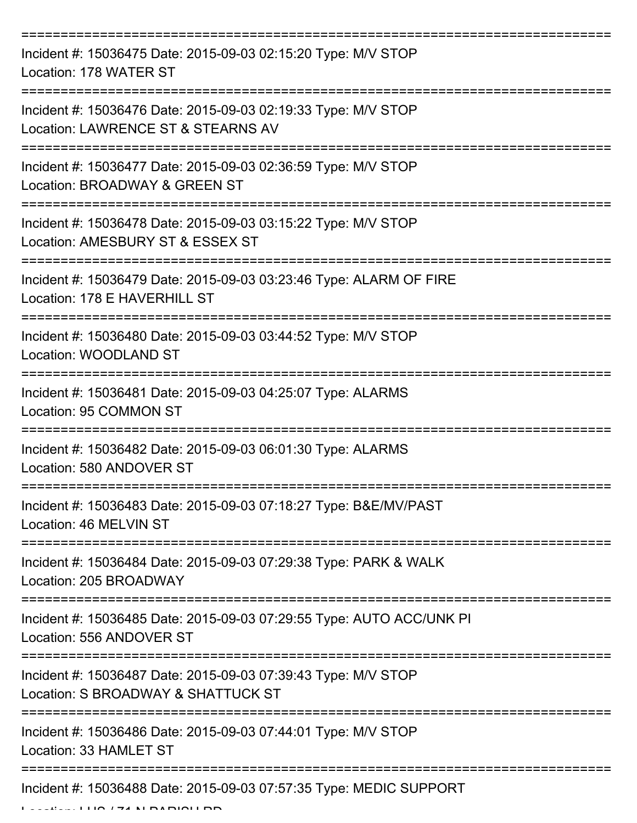| Incident #: 15036475 Date: 2015-09-03 02:15:20 Type: M/V STOP<br>Location: 178 WATER ST                     |
|-------------------------------------------------------------------------------------------------------------|
| Incident #: 15036476 Date: 2015-09-03 02:19:33 Type: M/V STOP<br>Location: LAWRENCE ST & STEARNS AV         |
| Incident #: 15036477 Date: 2015-09-03 02:36:59 Type: M/V STOP<br>Location: BROADWAY & GREEN ST              |
| Incident #: 15036478 Date: 2015-09-03 03:15:22 Type: M/V STOP<br>Location: AMESBURY ST & ESSEX ST           |
| Incident #: 15036479 Date: 2015-09-03 03:23:46 Type: ALARM OF FIRE<br>Location: 178 E HAVERHILL ST          |
| :================<br>Incident #: 15036480 Date: 2015-09-03 03:44:52 Type: M/V STOP<br>Location: WOODLAND ST |
| Incident #: 15036481 Date: 2015-09-03 04:25:07 Type: ALARMS<br>Location: 95 COMMON ST                       |
| Incident #: 15036482 Date: 2015-09-03 06:01:30 Type: ALARMS<br>Location: 580 ANDOVER ST                     |
| Incident #: 15036483 Date: 2015-09-03 07:18:27 Type: B&E/MV/PAST<br>Location: 46 MELVIN ST                  |
| Incident #: 15036484 Date: 2015-09-03 07:29:38 Type: PARK & WALK<br>Location: 205 BROADWAY                  |
| Incident #: 15036485 Date: 2015-09-03 07:29:55 Type: AUTO ACC/UNK PI<br>Location: 556 ANDOVER ST            |
| Incident #: 15036487 Date: 2015-09-03 07:39:43 Type: M/V STOP<br>Location: S BROADWAY & SHATTUCK ST         |
| Incident #: 15036486 Date: 2015-09-03 07:44:01 Type: M/V STOP<br>Location: 33 HAMLET ST                     |
| Incident #: 15036488 Date: 2015-09-03 07:57:35 Type: MEDIC SUPPORT                                          |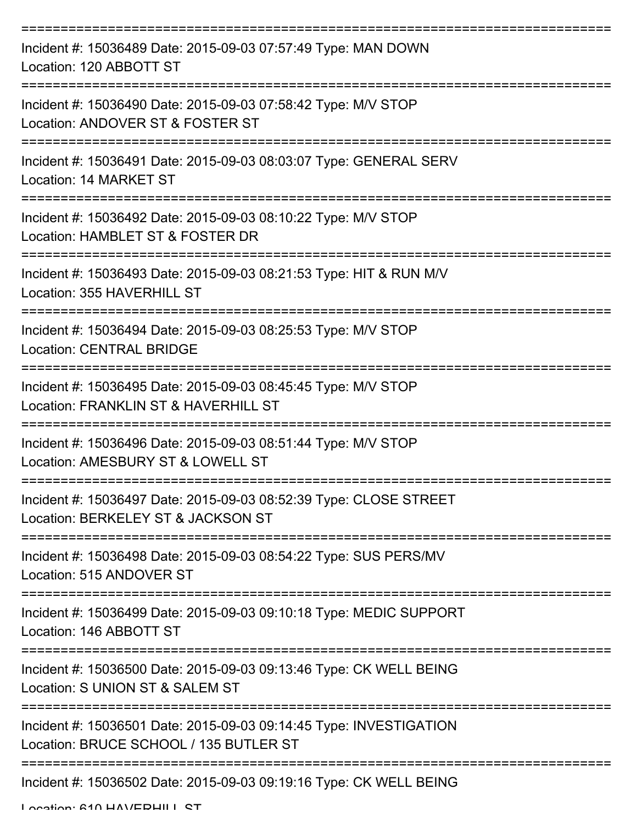| Incident #: 15036489 Date: 2015-09-03 07:57:49 Type: MAN DOWN<br>Location: 120 ABBOTT ST                     |
|--------------------------------------------------------------------------------------------------------------|
| Incident #: 15036490 Date: 2015-09-03 07:58:42 Type: M/V STOP<br>Location: ANDOVER ST & FOSTER ST            |
| Incident #: 15036491 Date: 2015-09-03 08:03:07 Type: GENERAL SERV<br>Location: 14 MARKET ST                  |
| Incident #: 15036492 Date: 2015-09-03 08:10:22 Type: M/V STOP<br>Location: HAMBLET ST & FOSTER DR            |
| Incident #: 15036493 Date: 2015-09-03 08:21:53 Type: HIT & RUN M/V<br>Location: 355 HAVERHILL ST             |
| Incident #: 15036494 Date: 2015-09-03 08:25:53 Type: M/V STOP<br><b>Location: CENTRAL BRIDGE</b>             |
| Incident #: 15036495 Date: 2015-09-03 08:45:45 Type: M/V STOP<br>Location: FRANKLIN ST & HAVERHILL ST        |
| Incident #: 15036496 Date: 2015-09-03 08:51:44 Type: M/V STOP<br>Location: AMESBURY ST & LOWELL ST           |
| Incident #: 15036497 Date: 2015-09-03 08:52:39 Type: CLOSE STREET<br>Location: BERKELEY ST & JACKSON ST      |
| Incident #: 15036498 Date: 2015-09-03 08:54:22 Type: SUS PERS/MV<br>Location: 515 ANDOVER ST                 |
| Incident #: 15036499 Date: 2015-09-03 09:10:18 Type: MEDIC SUPPORT<br>Location: 146 ABBOTT ST                |
| Incident #: 15036500 Date: 2015-09-03 09:13:46 Type: CK WELL BEING<br>Location: S UNION ST & SALEM ST        |
| Incident #: 15036501 Date: 2015-09-03 09:14:45 Type: INVESTIGATION<br>Location: BRUCE SCHOOL / 135 BUTLER ST |
| Incident #: 15036502 Date: 2015-09-03 09:19:16 Type: CK WELL BEING                                           |

Location: 610 HAV/EDHILL CT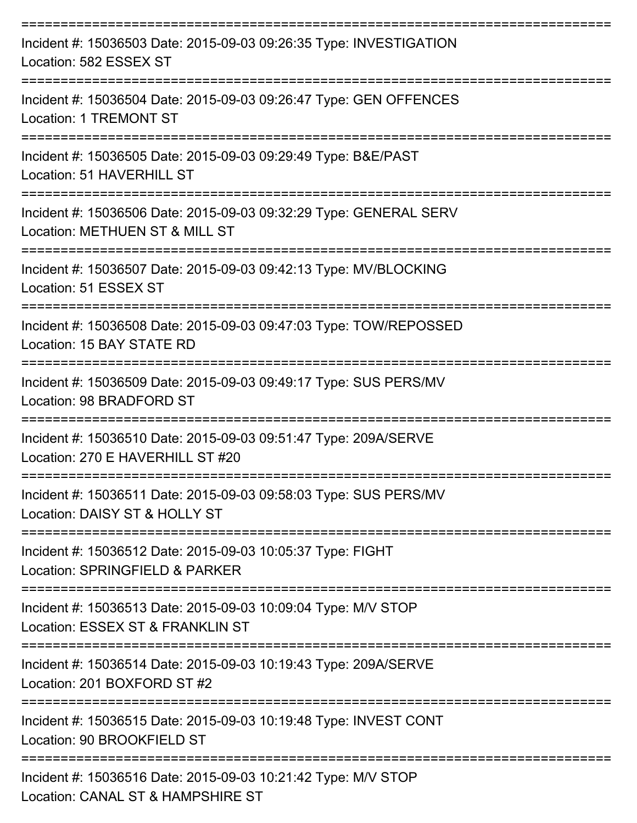| Incident #: 15036503 Date: 2015-09-03 09:26:35 Type: INVESTIGATION<br>Location: 582 ESSEX ST<br>--------------   |
|------------------------------------------------------------------------------------------------------------------|
| Incident #: 15036504 Date: 2015-09-03 09:26:47 Type: GEN OFFENCES<br>Location: 1 TREMONT ST<br>================= |
| Incident #: 15036505 Date: 2015-09-03 09:29:49 Type: B&E/PAST<br>Location: 51 HAVERHILL ST                       |
| Incident #: 15036506 Date: 2015-09-03 09:32:29 Type: GENERAL SERV<br>Location: METHUEN ST & MILL ST              |
| Incident #: 15036507 Date: 2015-09-03 09:42:13 Type: MV/BLOCKING<br>Location: 51 ESSEX ST                        |
| Incident #: 15036508 Date: 2015-09-03 09:47:03 Type: TOW/REPOSSED<br>Location: 15 BAY STATE RD                   |
| Incident #: 15036509 Date: 2015-09-03 09:49:17 Type: SUS PERS/MV<br>Location: 98 BRADFORD ST                     |
| Incident #: 15036510 Date: 2015-09-03 09:51:47 Type: 209A/SERVE<br>Location: 270 E HAVERHILL ST #20              |
| Incident #: 15036511 Date: 2015-09-03 09:58:03 Type: SUS PERS/MV<br>Location: DAISY ST & HOLLY ST                |
| Incident #: 15036512 Date: 2015-09-03 10:05:37 Type: FIGHT<br>Location: SPRINGFIELD & PARKER                     |
| Incident #: 15036513 Date: 2015-09-03 10:09:04 Type: M/V STOP<br>Location: ESSEX ST & FRANKLIN ST                |
| Incident #: 15036514 Date: 2015-09-03 10:19:43 Type: 209A/SERVE<br>Location: 201 BOXFORD ST #2                   |
| Incident #: 15036515 Date: 2015-09-03 10:19:48 Type: INVEST CONT<br>Location: 90 BROOKFIELD ST                   |
| Incident #: 15036516 Date: 2015-09-03 10:21:42 Type: M/V STOP<br>Location: CANAL ST & HAMPSHIRE ST               |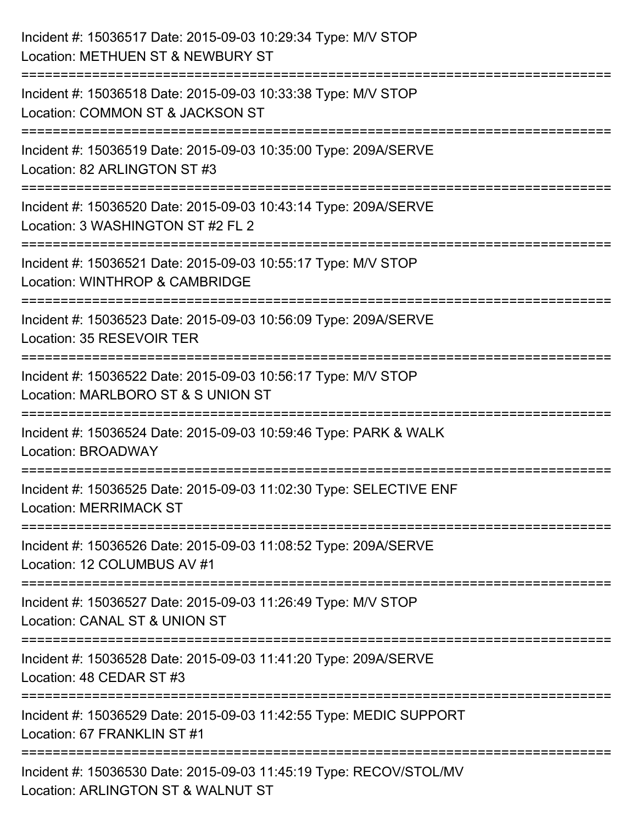| Incident #: 15036517 Date: 2015-09-03 10:29:34 Type: M/V STOP<br>Location: METHUEN ST & NEWBURY ST                                       |
|------------------------------------------------------------------------------------------------------------------------------------------|
| Incident #: 15036518 Date: 2015-09-03 10:33:38 Type: M/V STOP<br>Location: COMMON ST & JACKSON ST                                        |
| Incident #: 15036519 Date: 2015-09-03 10:35:00 Type: 209A/SERVE<br>Location: 82 ARLINGTON ST #3                                          |
| ================================<br>Incident #: 15036520 Date: 2015-09-03 10:43:14 Type: 209A/SERVE<br>Location: 3 WASHINGTON ST #2 FL 2 |
| Incident #: 15036521 Date: 2015-09-03 10:55:17 Type: M/V STOP<br>Location: WINTHROP & CAMBRIDGE<br>==================<br>=============   |
| Incident #: 15036523 Date: 2015-09-03 10:56:09 Type: 209A/SERVE<br>Location: 35 RESEVOIR TER                                             |
| Incident #: 15036522 Date: 2015-09-03 10:56:17 Type: M/V STOP<br>Location: MARLBORO ST & S UNION ST                                      |
| Incident #: 15036524 Date: 2015-09-03 10:59:46 Type: PARK & WALK<br>Location: BROADWAY                                                   |
| Incident #: 15036525 Date: 2015-09-03 11:02:30 Type: SELECTIVE ENF<br><b>Location: MERRIMACK ST</b>                                      |
| Incident #: 15036526 Date: 2015-09-03 11:08:52 Type: 209A/SERVE<br>Location: 12 COLUMBUS AV #1                                           |
| Incident #: 15036527 Date: 2015-09-03 11:26:49 Type: M/V STOP<br>Location: CANAL ST & UNION ST                                           |
| Incident #: 15036528 Date: 2015-09-03 11:41:20 Type: 209A/SERVE<br>Location: 48 CEDAR ST #3                                              |
| Incident #: 15036529 Date: 2015-09-03 11:42:55 Type: MEDIC SUPPORT<br>Location: 67 FRANKLIN ST #1                                        |
| Incident #: 15036530 Date: 2015-09-03 11:45:19 Type: RECOV/STOL/MV<br>Location: ARLINGTON ST & WALNUT ST                                 |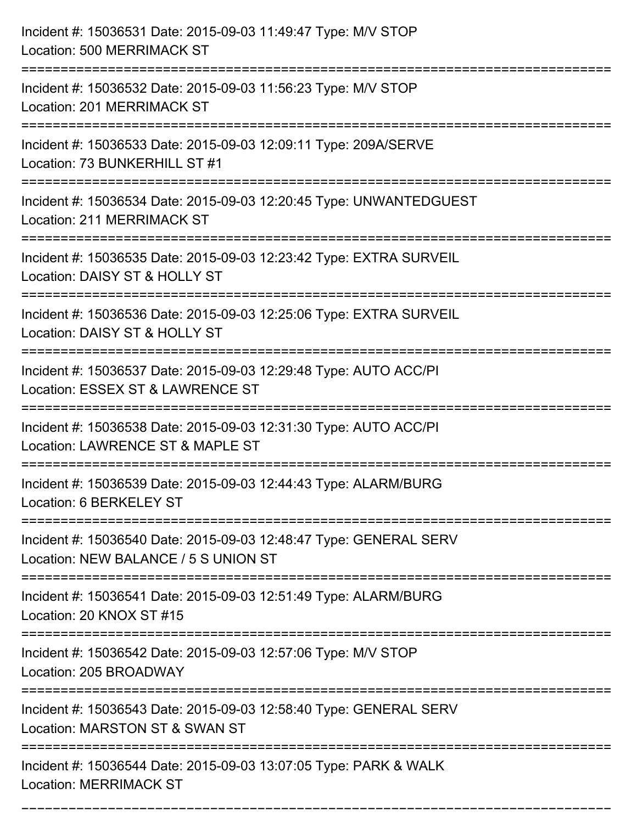| Incident #: 15036531 Date: 2015-09-03 11:49:47 Type: M/V STOP<br><b>Location: 500 MERRIMACK ST</b>                        |
|---------------------------------------------------------------------------------------------------------------------------|
| ========================<br>Incident #: 15036532 Date: 2015-09-03 11:56:23 Type: M/V STOP<br>Location: 201 MERRIMACK ST   |
| Incident #: 15036533 Date: 2015-09-03 12:09:11 Type: 209A/SERVE<br>Location: 73 BUNKERHILL ST #1<br>===================== |
| Incident #: 15036534 Date: 2015-09-03 12:20:45 Type: UNWANTEDGUEST<br>Location: 211 MERRIMACK ST                          |
| Incident #: 15036535 Date: 2015-09-03 12:23:42 Type: EXTRA SURVEIL<br>Location: DAISY ST & HOLLY ST<br>================   |
| Incident #: 15036536 Date: 2015-09-03 12:25:06 Type: EXTRA SURVEIL<br>Location: DAISY ST & HOLLY ST                       |
| Incident #: 15036537 Date: 2015-09-03 12:29:48 Type: AUTO ACC/PI<br>Location: ESSEX ST & LAWRENCE ST                      |
| Incident #: 15036538 Date: 2015-09-03 12:31:30 Type: AUTO ACC/PI<br>Location: LAWRENCE ST & MAPLE ST                      |
| Incident #: 15036539 Date: 2015-09-03 12:44:43 Type: ALARM/BURG<br>Location: 6 BERKELEY ST                                |
| Incident #: 15036540 Date: 2015-09-03 12:48:47 Type: GENERAL SERV<br>Location: NEW BALANCE / 5 S UNION ST                 |
| Incident #: 15036541 Date: 2015-09-03 12:51:49 Type: ALARM/BURG<br>Location: 20 KNOX ST #15                               |
| Incident #: 15036542 Date: 2015-09-03 12:57:06 Type: M/V STOP<br>Location: 205 BROADWAY                                   |
| Incident #: 15036543 Date: 2015-09-03 12:58:40 Type: GENERAL SERV<br>Location: MARSTON ST & SWAN ST                       |
| Incident #: 15036544 Date: 2015-09-03 13:07:05 Type: PARK & WALK<br><b>Location: MERRIMACK ST</b>                         |

===========================================================================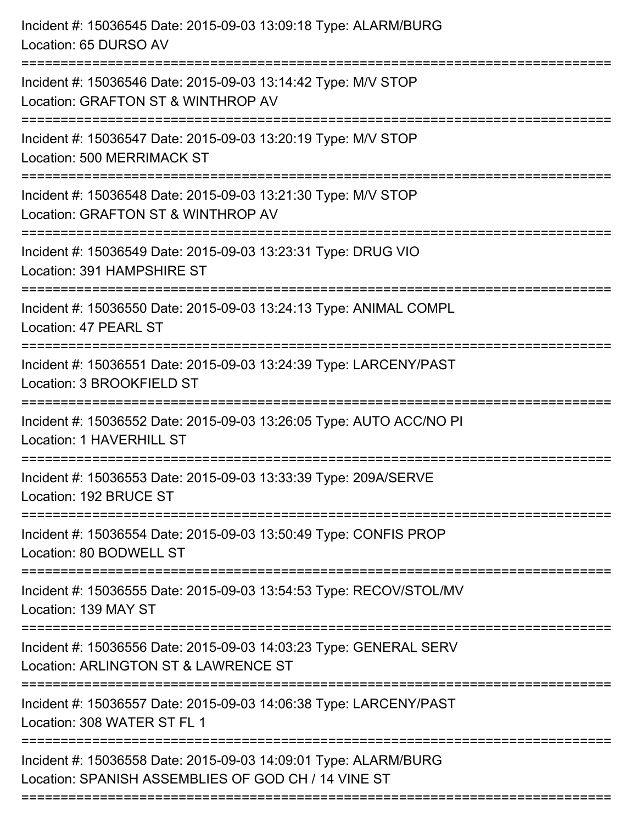| Incident #: 15036545 Date: 2015-09-03 13:09:18 Type: ALARM/BURG<br>Location: 65 DURSO AV                                             |
|--------------------------------------------------------------------------------------------------------------------------------------|
| Incident #: 15036546 Date: 2015-09-03 13:14:42 Type: M/V STOP<br>Location: GRAFTON ST & WINTHROP AV                                  |
| Incident #: 15036547 Date: 2015-09-03 13:20:19 Type: M/V STOP<br><b>Location: 500 MERRIMACK ST</b><br>:============================= |
| Incident #: 15036548 Date: 2015-09-03 13:21:30 Type: M/V STOP<br>Location: GRAFTON ST & WINTHROP AV                                  |
| Incident #: 15036549 Date: 2015-09-03 13:23:31 Type: DRUG VIO<br>Location: 391 HAMPSHIRE ST                                          |
| Incident #: 15036550 Date: 2015-09-03 13:24:13 Type: ANIMAL COMPL<br>Location: 47 PEARL ST                                           |
| Incident #: 15036551 Date: 2015-09-03 13:24:39 Type: LARCENY/PAST<br>Location: 3 BROOKFIELD ST                                       |
| Incident #: 15036552 Date: 2015-09-03 13:26:05 Type: AUTO ACC/NO PI<br>Location: 1 HAVERHILL ST                                      |
| Incident #: 15036553 Date: 2015-09-03 13:33:39 Type: 209A/SERVE<br>Location: 192 BRUCE ST                                            |
| Incident #: 15036554 Date: 2015-09-03 13:50:49 Type: CONFIS PROP<br>Location: 80 BODWELL ST                                          |
| Incident #: 15036555 Date: 2015-09-03 13:54:53 Type: RECOV/STOL/MV<br>Location: 139 MAY ST                                           |
| ======================<br>Incident #: 15036556 Date: 2015-09-03 14:03:23 Type: GENERAL SERV<br>Location: ARLINGTON ST & LAWRENCE ST  |
| Incident #: 15036557 Date: 2015-09-03 14:06:38 Type: LARCENY/PAST<br>Location: 308 WATER ST FL 1                                     |
| Incident #: 15036558 Date: 2015-09-03 14:09:01 Type: ALARM/BURG<br>Location: SPANISH ASSEMBLIES OF GOD CH / 14 VINE ST               |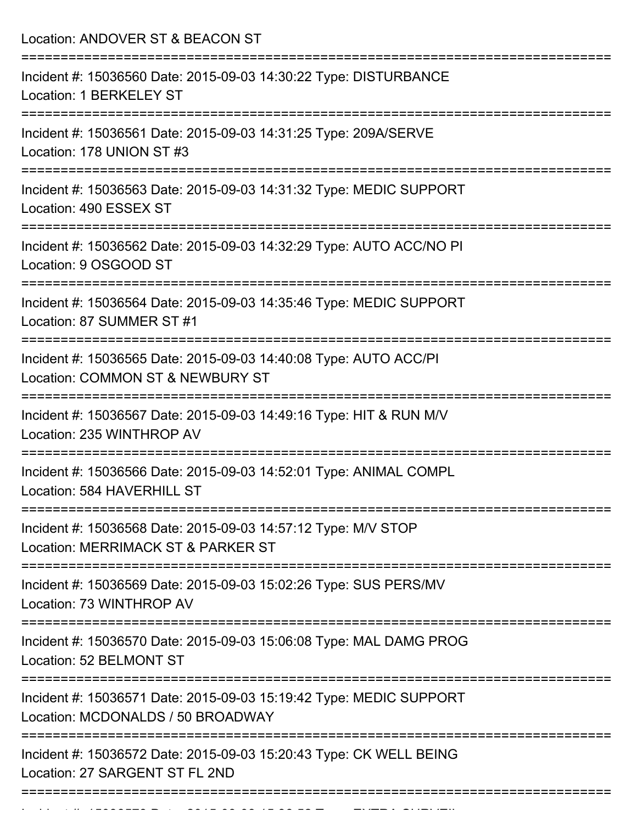Location: ANDOVER ST & BEACON ST =========================================================================== Incident #: 15036560 Date: 2015-09-03 14:30:22 Type: DISTURBANCE Location: 1 BERKELEY ST =========================================================================== Incident #: 15036561 Date: 2015-09-03 14:31:25 Type: 209A/SERVE Location: 178 UNION ST #3 =========================================================================== Incident #: 15036563 Date: 2015-09-03 14:31:32 Type: MEDIC SUPPORT Location: 490 ESSEX ST =========================================================================== Incident #: 15036562 Date: 2015-09-03 14:32:29 Type: AUTO ACC/NO PI Location: 9 OSGOOD ST =========================================================================== Incident #: 15036564 Date: 2015-09-03 14:35:46 Type: MEDIC SUPPORT Location: 87 SUMMER ST #1 =========================================================================== Incident #: 15036565 Date: 2015-09-03 14:40:08 Type: AUTO ACC/PI Location: COMMON ST & NEWBURY ST =========================================================================== Incident #: 15036567 Date: 2015-09-03 14:49:16 Type: HIT & RUN M/V Location: 235 WINTHROP AV =========================================================================== Incident #: 15036566 Date: 2015-09-03 14:52:01 Type: ANIMAL COMPL Location: 584 HAVERHILL ST =========================================================================== Incident #: 15036568 Date: 2015-09-03 14:57:12 Type: M/V STOP Location: MERRIMACK ST & PARKER ST =========================================================================== Incident #: 15036569 Date: 2015-09-03 15:02:26 Type: SUS PERS/MV Location: 73 WINTHROP AV =========================================================================== Incident #: 15036570 Date: 2015-09-03 15:06:08 Type: MAL DAMG PROG Location: 52 BELMONT ST =========================================================================== Incident #: 15036571 Date: 2015-09-03 15:19:42 Type: MEDIC SUPPORT Location: MCDONALDS / 50 BROADWAY =========================================================================== Incident #: 15036572 Date: 2015-09-03 15:20:43 Type: CK WELL BEING Location: 27 SARGENT ST FL 2ND ===========================================================================

Incident #: 15036573 Date: 2015 09 03 15:36:52 Type: EXTRA SURVEIL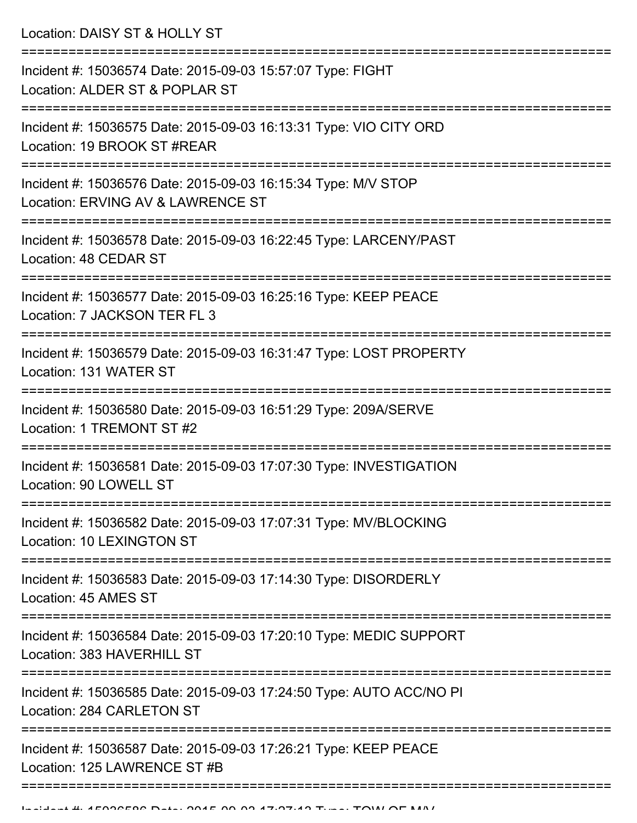Location: DAISY ST & HOLLY ST

| Incident #: 15036574 Date: 2015-09-03 15:57:07 Type: FIGHT<br>Location: ALDER ST & POPLAR ST       |
|----------------------------------------------------------------------------------------------------|
| Incident #: 15036575 Date: 2015-09-03 16:13:31 Type: VIO CITY ORD<br>Location: 19 BROOK ST #REAR   |
| Incident #: 15036576 Date: 2015-09-03 16:15:34 Type: M/V STOP<br>Location: ERVING AV & LAWRENCE ST |
| Incident #: 15036578 Date: 2015-09-03 16:22:45 Type: LARCENY/PAST<br>Location: 48 CEDAR ST         |
| Incident #: 15036577 Date: 2015-09-03 16:25:16 Type: KEEP PEACE<br>Location: 7 JACKSON TER FL 3    |
| Incident #: 15036579 Date: 2015-09-03 16:31:47 Type: LOST PROPERTY<br>Location: 131 WATER ST       |
| Incident #: 15036580 Date: 2015-09-03 16:51:29 Type: 209A/SERVE<br>Location: 1 TREMONT ST #2       |
| Incident #: 15036581 Date: 2015-09-03 17:07:30 Type: INVESTIGATION<br>Location: 90 LOWELI ST       |
| Incident #: 15036582 Date: 2015-09-03 17:07:31 Type: MV/BLOCKING<br>Location: 10 LEXINGTON ST      |
| Incident #: 15036583 Date: 2015-09-03 17:14:30 Type: DISORDERLY<br>Location: 45 AMES ST            |
| Incident #: 15036584 Date: 2015-09-03 17:20:10 Type: MEDIC SUPPORT<br>Location: 383 HAVERHILL ST   |
| Incident #: 15036585 Date: 2015-09-03 17:24:50 Type: AUTO ACC/NO PI<br>Location: 284 CARLETON ST   |
| Incident #: 15036587 Date: 2015-09-03 17:26:21 Type: KEEP PEACE<br>Location: 125 LAWRENCE ST #B    |
|                                                                                                    |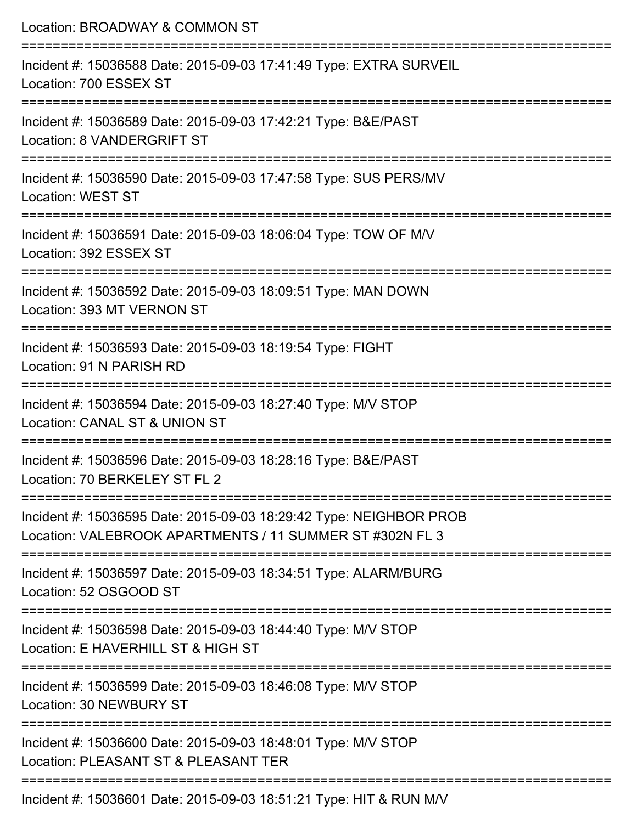| Location: BROADWAY & COMMON ST                                                                                                 |
|--------------------------------------------------------------------------------------------------------------------------------|
| Incident #: 15036588 Date: 2015-09-03 17:41:49 Type: EXTRA SURVEIL<br>Location: 700 ESSEX ST                                   |
| Incident #: 15036589 Date: 2015-09-03 17:42:21 Type: B&E/PAST<br>Location: 8 VANDERGRIFT ST                                    |
| Incident #: 15036590 Date: 2015-09-03 17:47:58 Type: SUS PERS/MV<br><b>Location: WEST ST</b>                                   |
| Incident #: 15036591 Date: 2015-09-03 18:06:04 Type: TOW OF M/V<br>Location: 392 ESSEX ST                                      |
| Incident #: 15036592 Date: 2015-09-03 18:09:51 Type: MAN DOWN<br>Location: 393 MT VERNON ST                                    |
| Incident #: 15036593 Date: 2015-09-03 18:19:54 Type: FIGHT<br>Location: 91 N PARISH RD                                         |
| Incident #: 15036594 Date: 2015-09-03 18:27:40 Type: M/V STOP<br>Location: CANAL ST & UNION ST                                 |
| Incident #: 15036596 Date: 2015-09-03 18:28:16 Type: B&E/PAST<br>Location: 70 BERKELEY ST FL 2                                 |
| Incident #: 15036595 Date: 2015-09-03 18:29:42 Type: NEIGHBOR PROB<br>Location: VALEBROOK APARTMENTS / 11 SUMMER ST #302N FL 3 |
| Incident #: 15036597 Date: 2015-09-03 18:34:51 Type: ALARM/BURG<br>Location: 52 OSGOOD ST                                      |
| Incident #: 15036598 Date: 2015-09-03 18:44:40 Type: M/V STOP<br>Location: E HAVERHILL ST & HIGH ST                            |
| Incident #: 15036599 Date: 2015-09-03 18:46:08 Type: M/V STOP<br><b>Location: 30 NEWBURY ST</b>                                |
| Incident #: 15036600 Date: 2015-09-03 18:48:01 Type: M/V STOP<br>Location: PLEASANT ST & PLEASANT TER                          |
| Incident #: 15036601 Date: 2015-09-03 18:51:21 Type: HIT & RUN M/V                                                             |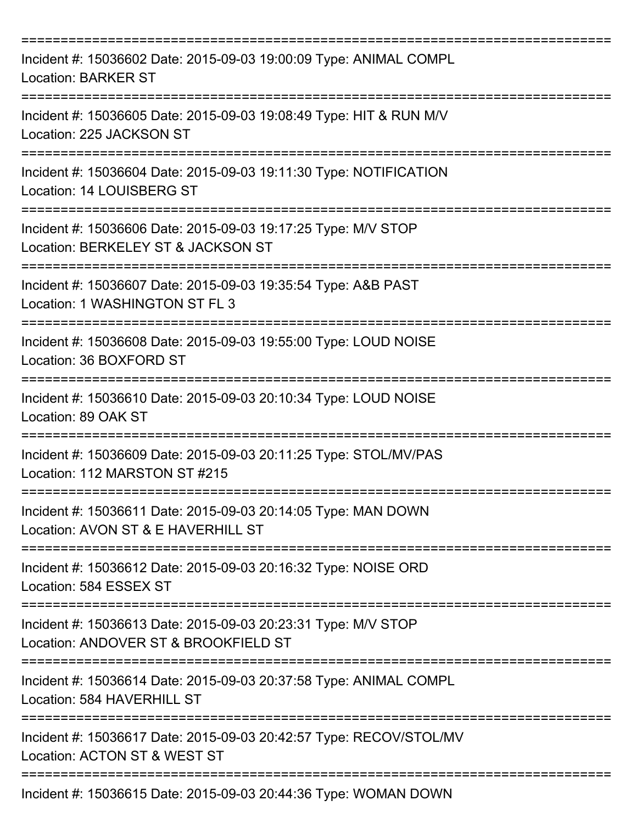| Incident #: 15036602 Date: 2015-09-03 19:00:09 Type: ANIMAL COMPL<br><b>Location: BARKER ST</b>       |
|-------------------------------------------------------------------------------------------------------|
| Incident #: 15036605 Date: 2015-09-03 19:08:49 Type: HIT & RUN M/V<br>Location: 225 JACKSON ST        |
| Incident #: 15036604 Date: 2015-09-03 19:11:30 Type: NOTIFICATION<br>Location: 14 LOUISBERG ST        |
| Incident #: 15036606 Date: 2015-09-03 19:17:25 Type: M/V STOP<br>Location: BERKELEY ST & JACKSON ST   |
| Incident #: 15036607 Date: 2015-09-03 19:35:54 Type: A&B PAST<br>Location: 1 WASHINGTON ST FL 3       |
| Incident #: 15036608 Date: 2015-09-03 19:55:00 Type: LOUD NOISE<br>Location: 36 BOXFORD ST            |
| Incident #: 15036610 Date: 2015-09-03 20:10:34 Type: LOUD NOISE<br>Location: 89 OAK ST                |
| Incident #: 15036609 Date: 2015-09-03 20:11:25 Type: STOL/MV/PAS<br>Location: 112 MARSTON ST #215     |
| Incident #: 15036611 Date: 2015-09-03 20:14:05 Type: MAN DOWN<br>Location: AVON ST & E HAVERHILL ST   |
| Incident #: 15036612 Date: 2015-09-03 20:16:32 Type: NOISE ORD<br>Location: 584 ESSEX ST              |
| Incident #: 15036613 Date: 2015-09-03 20:23:31 Type: M/V STOP<br>Location: ANDOVER ST & BROOKFIELD ST |
| Incident #: 15036614 Date: 2015-09-03 20:37:58 Type: ANIMAL COMPL<br>Location: 584 HAVERHILL ST       |
| Incident #: 15036617 Date: 2015-09-03 20:42:57 Type: RECOV/STOL/MV<br>Location: ACTON ST & WEST ST    |
| Incident #: 15036615 Date: 2015-09-03 20:44:36 Type: WOMAN DOWN                                       |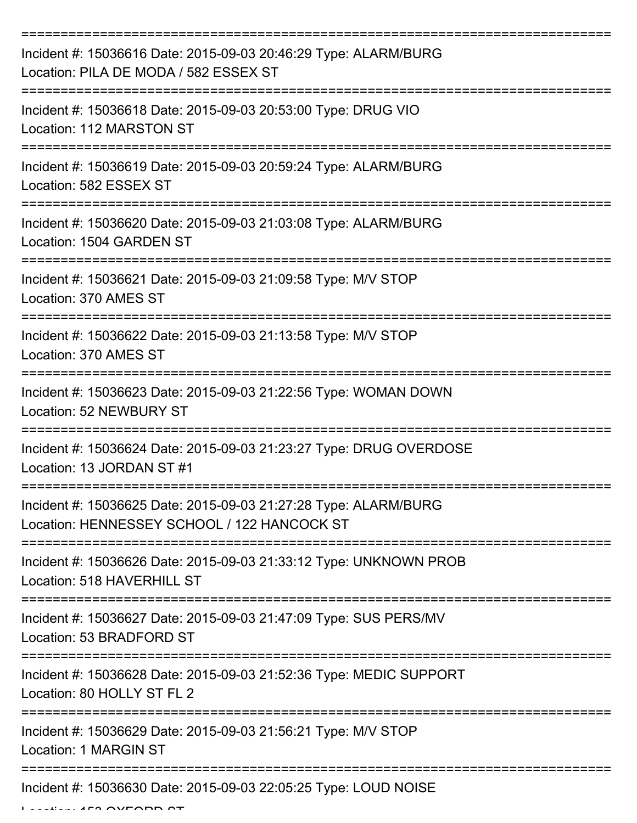| Incident #: 15036616 Date: 2015-09-03 20:46:29 Type: ALARM/BURG<br>Location: PILA DE MODA / 582 ESSEX ST       |
|----------------------------------------------------------------------------------------------------------------|
| Incident #: 15036618 Date: 2015-09-03 20:53:00 Type: DRUG VIO<br>Location: 112 MARSTON ST                      |
| Incident #: 15036619 Date: 2015-09-03 20:59:24 Type: ALARM/BURG<br>Location: 582 ESSEX ST                      |
| Incident #: 15036620 Date: 2015-09-03 21:03:08 Type: ALARM/BURG<br>Location: 1504 GARDEN ST                    |
| Incident #: 15036621 Date: 2015-09-03 21:09:58 Type: M/V STOP<br>Location: 370 AMES ST                         |
| Incident #: 15036622 Date: 2015-09-03 21:13:58 Type: M/V STOP<br>Location: 370 AMES ST                         |
| Incident #: 15036623 Date: 2015-09-03 21:22:56 Type: WOMAN DOWN<br><b>Location: 52 NEWBURY ST</b>              |
| Incident #: 15036624 Date: 2015-09-03 21:23:27 Type: DRUG OVERDOSE<br>Location: 13 JORDAN ST #1                |
| Incident #: 15036625 Date: 2015-09-03 21:27:28 Type: ALARM/BURG<br>Location: HENNESSEY SCHOOL / 122 HANCOCK ST |
| Incident #: 15036626 Date: 2015-09-03 21:33:12 Type: UNKNOWN PROB<br>Location: 518 HAVERHILL ST                |
| Incident #: 15036627 Date: 2015-09-03 21:47:09 Type: SUS PERS/MV<br>Location: 53 BRADFORD ST                   |
| Incident #: 15036628 Date: 2015-09-03 21:52:36 Type: MEDIC SUPPORT<br>Location: 80 HOLLY ST FL 2               |
| Incident #: 15036629 Date: 2015-09-03 21:56:21 Type: M/V STOP<br>Location: 1 MARGIN ST                         |
| Incident #: 15036630 Date: 2015-09-03 22:05:25 Type: LOUD NOISE                                                |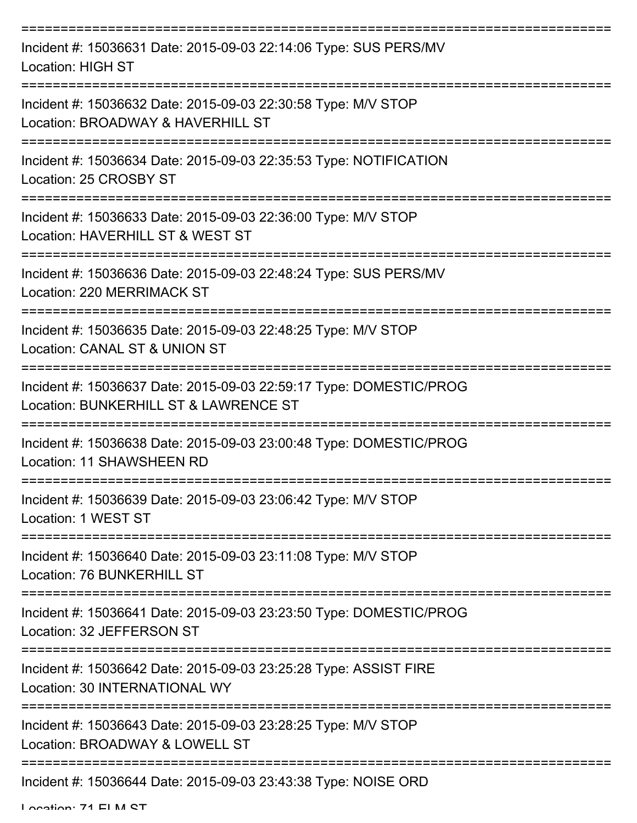| Incident #: 15036631 Date: 2015-09-03 22:14:06 Type: SUS PERS/MV<br><b>Location: HIGH ST</b>                 |
|--------------------------------------------------------------------------------------------------------------|
| Incident #: 15036632 Date: 2015-09-03 22:30:58 Type: M/V STOP<br>Location: BROADWAY & HAVERHILL ST           |
| Incident #: 15036634 Date: 2015-09-03 22:35:53 Type: NOTIFICATION<br>Location: 25 CROSBY ST<br>------------- |
| Incident #: 15036633 Date: 2015-09-03 22:36:00 Type: M/V STOP<br>Location: HAVERHILL ST & WEST ST            |
| Incident #: 15036636 Date: 2015-09-03 22:48:24 Type: SUS PERS/MV<br>Location: 220 MERRIMACK ST               |
| Incident #: 15036635 Date: 2015-09-03 22:48:25 Type: M/V STOP<br>Location: CANAL ST & UNION ST               |
| Incident #: 15036637 Date: 2015-09-03 22:59:17 Type: DOMESTIC/PROG<br>Location: BUNKERHILL ST & LAWRENCE ST  |
| Incident #: 15036638 Date: 2015-09-03 23:00:48 Type: DOMESTIC/PROG<br>Location: 11 SHAWSHEEN RD              |
| Incident #: 15036639 Date: 2015-09-03 23:06:42 Type: M/V STOP<br>Location: 1 WEST ST                         |
| Incident #: 15036640 Date: 2015-09-03 23:11:08 Type: M/V STOP<br>Location: 76 BUNKERHILL ST                  |
| Incident #: 15036641 Date: 2015-09-03 23:23:50 Type: DOMESTIC/PROG<br>Location: 32 JEFFERSON ST              |
| Incident #: 15036642 Date: 2015-09-03 23:25:28 Type: ASSIST FIRE<br>Location: 30 INTERNATIONAL WY            |
| Incident #: 15036643 Date: 2015-09-03 23:28:25 Type: M/V STOP<br>Location: BROADWAY & LOWELL ST              |
| Incident #: 15036644 Date: 2015-09-03 23:43:38 Type: NOISE ORD                                               |

Location: 71 ELM ST